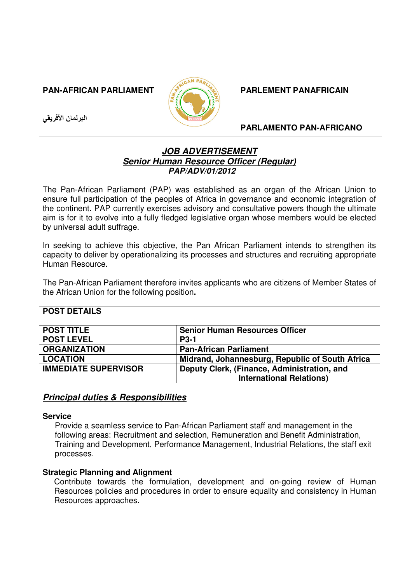## **PAN-AFRICAN PARLIAMENT**  $\sqrt{2}$  **PARLEMENT PANAFRICAIN**

البرلمان الأفريقي



## **PARLAMENTO PAN-AFRICANO**

# **JOB ADVERTISEMENT Senior Human Resource Officer (Regular) PAP/ADV/01/2012**

The Pan-African Parliament (PAP) was established as an organ of the African Union to ensure full participation of the peoples of Africa in governance and economic integration of the continent. PAP currently exercises advisory and consultative powers though the ultimate aim is for it to evolve into a fully fledged legislative organ whose members would be elected by universal adult suffrage.

In seeking to achieve this objective, the Pan African Parliament intends to strengthen its capacity to deliver by operationalizing its processes and structures and recruiting appropriate Human Resource.

The Pan-African Parliament therefore invites applicants who are citizens of Member States of the African Union for the following position**.** 

| <b>POST DETAILS</b>         |                                                                                |
|-----------------------------|--------------------------------------------------------------------------------|
| <b>POST TITLE</b>           | <b>Senior Human Resources Officer</b>                                          |
| <b>POST LEVEL</b>           | <b>P3-1</b>                                                                    |
| <b>ORGANIZATION</b>         | <b>Pan-African Parliament</b>                                                  |
| <b>LOCATION</b>             | Midrand, Johannesburg, Republic of South Africa                                |
| <b>IMMEDIATE SUPERVISOR</b> | Deputy Clerk, (Finance, Administration, and<br><b>International Relations)</b> |
|                             |                                                                                |

# **Principal duties & Responsibilities**

#### **Service**

Provide a seamless service to Pan-African Parliament staff and management in the following areas: Recruitment and selection, Remuneration and Benefit Administration, Training and Development, Performance Management, Industrial Relations, the staff exit processes.

## **Strategic Planning and Alignment**

Contribute towards the formulation, development and on-going review of Human Resources policies and procedures in order to ensure equality and consistency in Human Resources approaches.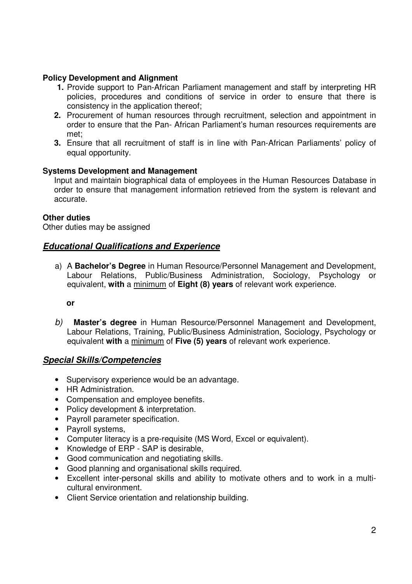## **Policy Development and Alignment**

- **1.** Provide support to Pan-African Parliament management and staff by interpreting HR policies, procedures and conditions of service in order to ensure that there is consistency in the application thereof;
- **2.** Procurement of human resources through recruitment, selection and appointment in order to ensure that the Pan- African Parliament's human resources requirements are met;
- **3.** Ensure that all recruitment of staff is in line with Pan-African Parliaments' policy of equal opportunity.

## **Systems Development and Management**

Input and maintain biographical data of employees in the Human Resources Database in order to ensure that management information retrieved from the system is relevant and accurate.

## **Other duties**

Other duties may be assigned

# **Educational Qualifications and Experience**

a) A **Bachelor's Degree** in Human Resource/Personnel Management and Development, Labour Relations, Public/Business Administration, Sociology, Psychology or equivalent, **with** a minimum of **Eight (8) years** of relevant work experience.

**or** 

b) **Master's degree** in Human Resource/Personnel Management and Development, Labour Relations, Training, Public/Business Administration, Sociology, Psychology or equivalent **with** a minimum of **Five (5) years** of relevant work experience.

# **Special Skills/Competencies**

- Supervisory experience would be an advantage.
- HR Administration.
- Compensation and employee benefits.
- Policy development & interpretation.
- Payroll parameter specification.
- Pavroll systems.
- Computer literacy is a pre-requisite (MS Word, Excel or equivalent).
- Knowledge of ERP SAP is desirable,
- Good communication and negotiating skills.
- Good planning and organisational skills required.
- Excellent inter-personal skills and ability to motivate others and to work in a multicultural environment.
- Client Service orientation and relationship building.